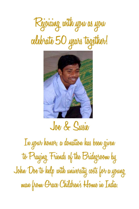## **Rejoicing with you as you celebrate 50 years together!**



#### **Joe & Susie**

**In your honor, a donation has been given to Praying Friends of the Bridegroom by John Doe to help with university costs for a young man from Grace Children's Home in India.**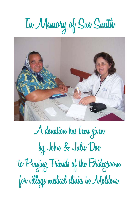## **In Memory of Sue Smith**



**A donation has been given by John & Julie Doe to Praying Friends of the Bridegroom for village medical clinics in Moldova.**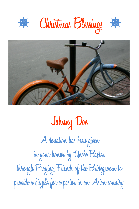



**Johnny Doe A donation has been given in your honor by Uncle Baxter through Praying Friends of the Bridegroom to provide a bicycle for a pastor in an Asian country.**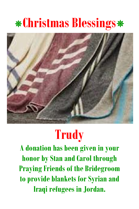### **Christmas Blessings**



### **Trudy**

**A donation has been given in your honor by Stan and Carol through Praying Friends of the Bridegroom to provide blankets for Syrian and Iraqi refugees in Jordan.**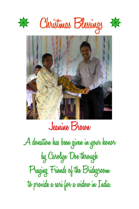



#### **Jeanine Brown**

**A donation has been given in your honor by Carolyn Doe through Praying Friends of the Bridegroom to provide a sari for a widow in India.**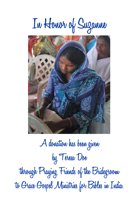## **In Honor of Suzanne**



**A donation has been given by Teresa Doe through Praying Friends of the Bridegroom to Grace Gospel Ministries for Bibles in India.**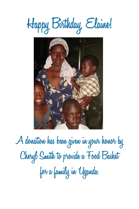



**A donation has been given in your honor by Cheryl Smith to provide a Food Basket for a family in Uganda.**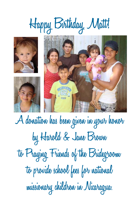







**A donation has been given in your honor by Harold & Jane Brown to Praying Friends of the Bridegroom to provide school fees for national missionary children in Nicaragua.**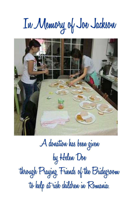## **In Memory of Joe Jackson**



**A donation has been given by Helen Doe through Praying Friends of the Bridegroom to help at risk children in Romania.**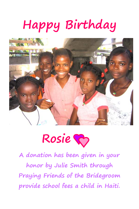### **Happy Birthday**





**A donation has been given in your honor by Julie Smith through Praying Friends of the Bridegroom provide school fees a child in Haiti.**